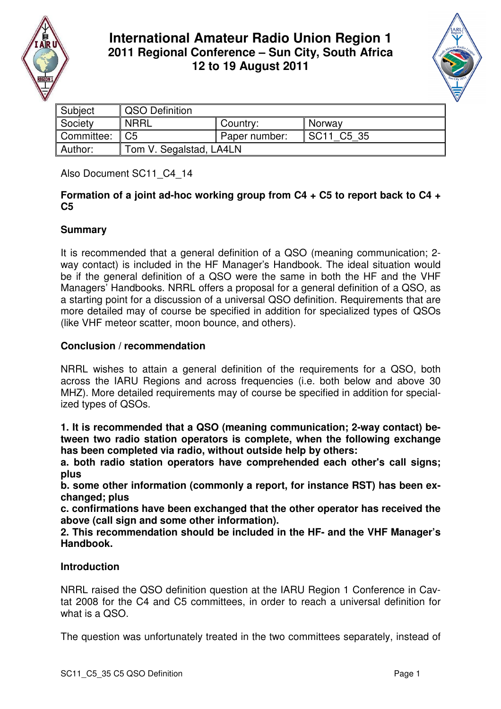

# **International Amateur Radio Union Region 1 2011 Regional Conference – Sun City, South Africa 12 to 19 August 2011**



| Subject    | <b>QSO Definition</b>   |               |                           |
|------------|-------------------------|---------------|---------------------------|
| Society    | <b>NRRL</b>             | Country:      | Norway                    |
| Committee: | C <sub>5</sub>          | Paper number: | C5 35<br>SC <sub>11</sub> |
| Author:    | Tom V. Segalstad, LA4LN |               |                           |

Also Document SC11\_C4\_14

#### **Formation of a joint ad-hoc working group from C4 + C5 to report back to C4 + C5**

## **Summary**

It is recommended that a general definition of a QSO (meaning communication; 2 way contact) is included in the HF Manager's Handbook. The ideal situation would be if the general definition of a QSO were the same in both the HF and the VHF Managers' Handbooks. NRRL offers a proposal for a general definition of a QSO, as a starting point for a discussion of a universal QSO definition. Requirements that are more detailed may of course be specified in addition for specialized types of QSOs (like VHF meteor scatter, moon bounce, and others).

## **Conclusion / recommendation**

NRRL wishes to attain a general definition of the requirements for a QSO, both across the IARU Regions and across frequencies (i.e. both below and above 30 MHZ). More detailed requirements may of course be specified in addition for specialized types of QSOs.

**1. It is recommended that a QSO (meaning communication; 2-way contact) between two radio station operators is complete, when the following exchange has been completed via radio, without outside help by others:** 

**a. both radio station operators have comprehended each other's call signs; plus** 

**b. some other information (commonly a report, for instance RST) has been exchanged; plus** 

**c. confirmations have been exchanged that the other operator has received the above (call sign and some other information).** 

**2. This recommendation should be included in the HF- and the VHF Manager's Handbook.** 

## **Introduction**

NRRL raised the QSO definition question at the IARU Region 1 Conference in Cavtat 2008 for the C4 and C5 committees, in order to reach a universal definition for what is a QSO.

The question was unfortunately treated in the two committees separately, instead of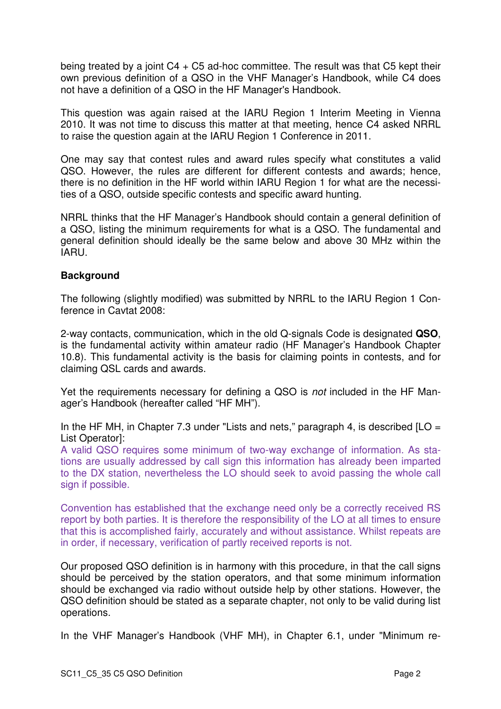being treated by a joint  $C4 + C5$  ad-hoc committee. The result was that  $C5$  kept their own previous definition of a QSO in the VHF Manager's Handbook, while C4 does not have a definition of a QSO in the HF Manager's Handbook.

This question was again raised at the IARU Region 1 Interim Meeting in Vienna 2010. It was not time to discuss this matter at that meeting, hence C4 asked NRRL to raise the question again at the IARU Region 1 Conference in 2011.

One may say that contest rules and award rules specify what constitutes a valid QSO. However, the rules are different for different contests and awards; hence, there is no definition in the HF world within IARU Region 1 for what are the necessities of a QSO, outside specific contests and specific award hunting.

NRRL thinks that the HF Manager's Handbook should contain a general definition of a QSO, listing the minimum requirements for what is a QSO. The fundamental and general definition should ideally be the same below and above 30 MHz within the IARU.

#### **Background**

The following (slightly modified) was submitted by NRRL to the IARU Region 1 Conference in Cavtat 2008:

2-way contacts, communication, which in the old Q-signals Code is designated **QSO**, is the fundamental activity within amateur radio (HF Manager's Handbook Chapter 10.8). This fundamental activity is the basis for claiming points in contests, and for claiming QSL cards and awards.

Yet the requirements necessary for defining a QSO is not included in the HF Manager's Handbook (hereafter called "HF MH").

In the HF MH, in Chapter 7.3 under "Lists and nets," paragraph 4, is described  $[LO =$ List Operator]:

A valid QSO requires some minimum of two-way exchange of information. As stations are usually addressed by call sign this information has already been imparted to the DX station, nevertheless the LO should seek to avoid passing the whole call sign if possible.

Convention has established that the exchange need only be a correctly received RS report by both parties. It is therefore the responsibility of the LO at all times to ensure that this is accomplished fairly, accurately and without assistance. Whilst repeats are in order, if necessary, verification of partly received reports is not.

Our proposed QSO definition is in harmony with this procedure, in that the call signs should be perceived by the station operators, and that some minimum information should be exchanged via radio without outside help by other stations. However, the QSO definition should be stated as a separate chapter, not only to be valid during list operations.

In the VHF Manager's Handbook (VHF MH), in Chapter 6.1, under "Minimum re-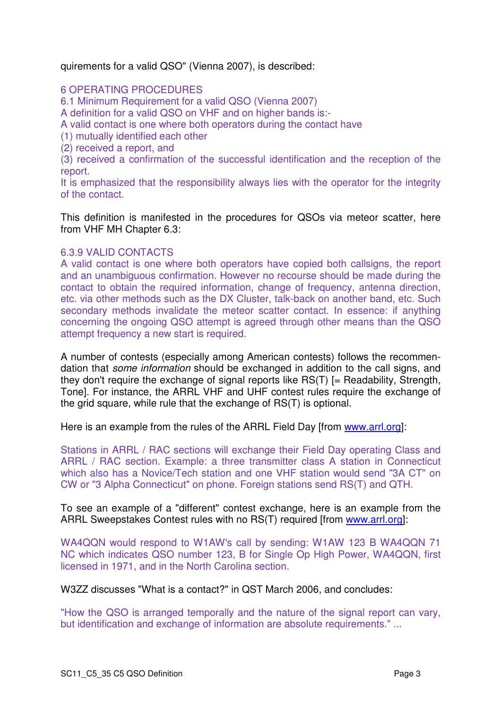quirements for a valid QSO" (Vienna 2007), is described:

6 OPERATING PROCEDURES

6.1 Minimum Requirement for a valid QSO (Vienna 2007)

A definition for a valid QSO on VHF and on higher bands is:-

A valid contact is one where both operators during the contact have

(1) mutually identified each other

(2) received a report, and

(3) received a confirmation of the successful identification and the reception of the report.

It is emphasized that the responsibility always lies with the operator for the integrity of the contact.

This definition is manifested in the procedures for QSOs via meteor scatter, here from VHF MH Chapter 6.3:

#### 6.3.9 VALID CONTACTS

A valid contact is one where both operators have copied both callsigns, the report and an unambiguous confirmation. However no recourse should be made during the contact to obtain the required information, change of frequency, antenna direction, etc. via other methods such as the DX Cluster, talk-back on another band, etc. Such secondary methods invalidate the meteor scatter contact. In essence: if anything concerning the ongoing QSO attempt is agreed through other means than the QSO attempt frequency a new start is required.

A number of contests (especially among American contests) follows the recommendation that some information should be exchanged in addition to the call signs, and they don't require the exchange of signal reports like RS(T) [= Readability, Strength, Tone]. For instance, the ARRL VHF and UHF contest rules require the exchange of the grid square, while rule that the exchange of RS(T) is optional.

Here is an example from the rules of the ARRL Field Day [from www.arrl.org]:

Stations in ARRL / RAC sections will exchange their Field Day operating Class and ARRL / RAC section. Example: a three transmitter class A station in Connecticut which also has a Novice/Tech station and one VHF station would send "3A CT" on CW or "3 Alpha Connecticut" on phone. Foreign stations send RS(T) and QTH.

To see an example of a "different" contest exchange, here is an example from the ARRL Sweepstakes Contest rules with no RS(T) required [from www.arrl.org]:

WA4QQN would respond to W1AW's call by sending: W1AW 123 B WA4QQN 71 NC which indicates QSO number 123, B for Single Op High Power, WA4QQN, first licensed in 1971, and in the North Carolina section.

W3ZZ discusses "What is a contact?" in QST March 2006, and concludes:

"How the QSO is arranged temporally and the nature of the signal report can vary, but identification and exchange of information are absolute requirements." ...